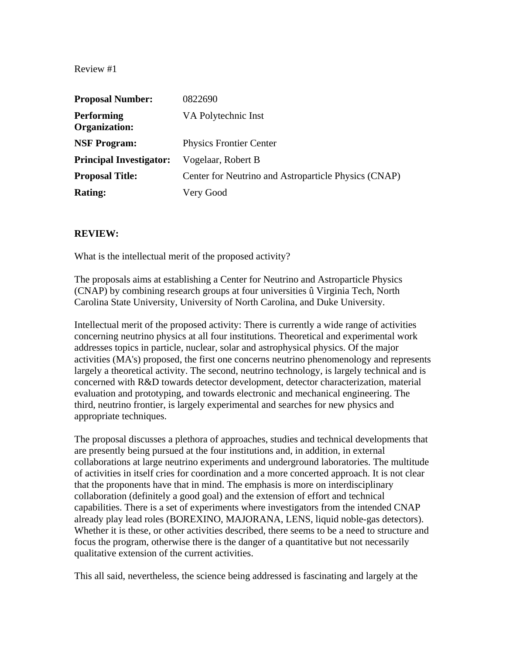| <b>Proposal Number:</b>                   | 0822690                                              |
|-------------------------------------------|------------------------------------------------------|
| <b>Performing</b><br><b>Organization:</b> | VA Polytechnic Inst                                  |
| <b>NSF Program:</b>                       | <b>Physics Frontier Center</b>                       |
| <b>Principal Investigator:</b>            | Vogelaar, Robert B                                   |
| <b>Proposal Title:</b>                    | Center for Neutrino and Astroparticle Physics (CNAP) |
| <b>Rating:</b>                            | Very Good                                            |

## **REVIEW:**

What is the intellectual merit of the proposed activity?

The proposals aims at establishing a Center for Neutrino and Astroparticle Physics (CNAP) by combining research groups at four universities û Virginia Tech, North Carolina State University, University of North Carolina, and Duke University.

Intellectual merit of the proposed activity: There is currently a wide range of activities concerning neutrino physics at all four institutions. Theoretical and experimental work addresses topics in particle, nuclear, solar and astrophysical physics. Of the major activities (MA's) proposed, the first one concerns neutrino phenomenology and represents largely a theoretical activity. The second, neutrino technology, is largely technical and is concerned with R&D towards detector development, detector characterization, material evaluation and prototyping, and towards electronic and mechanical engineering. The third, neutrino frontier, is largely experimental and searches for new physics and appropriate techniques.

The proposal discusses a plethora of approaches, studies and technical developments that are presently being pursued at the four institutions and, in addition, in external collaborations at large neutrino experiments and underground laboratories. The multitude of activities in itself cries for coordination and a more concerted approach. It is not clear that the proponents have that in mind. The emphasis is more on interdisciplinary collaboration (definitely a good goal) and the extension of effort and technical capabilities. There is a set of experiments where investigators from the intended CNAP already play lead roles (BOREXINO, MAJORANA, LENS, liquid noble-gas detectors). Whether it is these, or other activities described, there seems to be a need to structure and focus the program, otherwise there is the danger of a quantitative but not necessarily qualitative extension of the current activities.

This all said, nevertheless, the science being addressed is fascinating and largely at the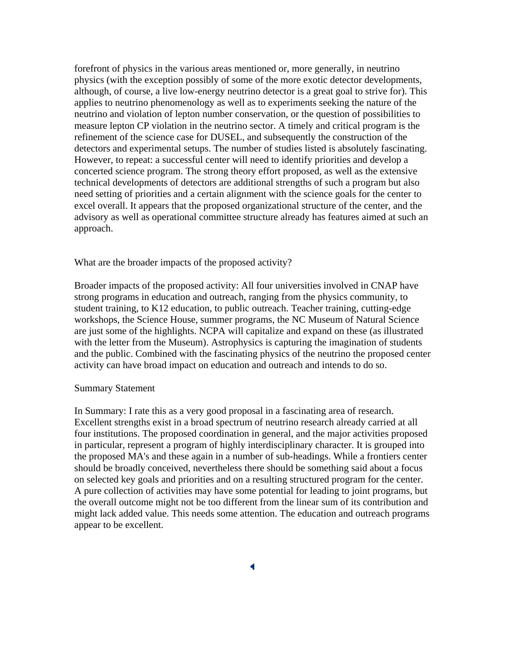forefront of physics in the various areas mentioned or, more generally, in neutrino physics (with the exception possibly of some of the more exotic detector developments, although, of course, a live low-energy neutrino detector is a great goal to strive for). This applies to neutrino phenomenology as well as to experiments seeking the nature of the neutrino and violation of lepton number conservation, or the question of possibilities to measure lepton CP violation in the neutrino sector. A timely and critical program is the refinement of the science case for DUSEL, and subsequently the construction of the detectors and experimental setups. The number of studies listed is absolutely fascinating. However, to repeat: a successful center will need to identify priorities and develop a concerted science program. The strong theory effort proposed, as well as the extensive technical developments of detectors are additional strengths of such a program but also need setting of priorities and a certain alignment with the science goals for the center to excel overall. It appears that the proposed organizational structure of the center, and the advisory as well as operational committee structure already has features aimed at such an approach.

What are the broader impacts of the proposed activity?

Broader impacts of the proposed activity: All four universities involved in CNAP have strong programs in education and outreach, ranging from the physics community, to student training, to K12 education, to public outreach. Teacher training, cutting-edge workshops, the Science House, summer programs, the NC Museum of Natural Science are just some of the highlights. NCPA will capitalize and expand on these (as illustrated with the letter from the Museum). Astrophysics is capturing the imagination of students and the public. Combined with the fascinating physics of the neutrino the proposed center activity can have broad impact on education and outreach and intends to do so.

#### Summary Statement

In Summary: I rate this as a very good proposal in a fascinating area of research. Excellent strengths exist in a broad spectrum of neutrino research already carried at all four institutions. The proposed coordination in general, and the major activities proposed in particular, represent a program of highly interdisciplinary character. It is grouped into the proposed MA's and these again in a number of sub-headings. While a frontiers center should be broadly conceived, nevertheless there should be something said about a focus on selected key goals and priorities and on a resulting structured program for the center. A pure collection of activities may have some potential for leading to joint programs, but the overall outcome might not be too different from the linear sum of its contribution and might lack added value. This needs some attention. The education and outreach programs appear to be excellent.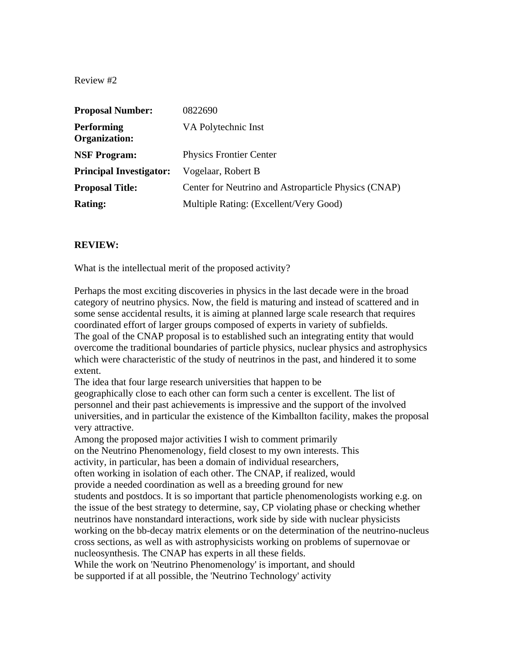| <b>Proposal Number:</b>                   | 0822690                                              |
|-------------------------------------------|------------------------------------------------------|
| <b>Performing</b><br><b>Organization:</b> | VA Polytechnic Inst                                  |
| <b>NSF Program:</b>                       | <b>Physics Frontier Center</b>                       |
| <b>Principal Investigator:</b>            | Vogelaar, Robert B                                   |
| <b>Proposal Title:</b>                    | Center for Neutrino and Astroparticle Physics (CNAP) |
| <b>Rating:</b>                            | Multiple Rating: (Excellent/Very Good)               |

# **REVIEW:**

What is the intellectual merit of the proposed activity?

Perhaps the most exciting discoveries in physics in the last decade were in the broad category of neutrino physics. Now, the field is maturing and instead of scattered and in some sense accidental results, it is aiming at planned large scale research that requires coordinated effort of larger groups composed of experts in variety of subfields. The goal of the CNAP proposal is to established such an integrating entity that would overcome the traditional boundaries of particle physics, nuclear physics and astrophysics which were characteristic of the study of neutrinos in the past, and hindered it to some extent.

The idea that four large research universities that happen to be geographically close to each other can form such a center is excellent. The list of personnel and their past achievements is impressive and the support of the involved universities, and in particular the existence of the Kimballton facility, makes the proposal very attractive.

Among the proposed major activities I wish to comment primarily on the Neutrino Phenomenology, field closest to my own interests. This activity, in particular, has been a domain of individual researchers, often working in isolation of each other. The CNAP, if realized, would provide a needed coordination as well as a breeding ground for new students and postdocs. It is so important that particle phenomenologists working e.g. on the issue of the best strategy to determine, say, CP violating phase or checking whether neutrinos have nonstandard interactions, work side by side with nuclear physicists working on the bb-decay matrix elements or on the determination of the neutrino-nucleus cross sections, as well as with astrophysicists working on problems of supernovae or nucleosynthesis. The CNAP has experts in all these fields. While the work on 'Neutrino Phenomenology' is important, and should

be supported if at all possible, the 'Neutrino Technology' activity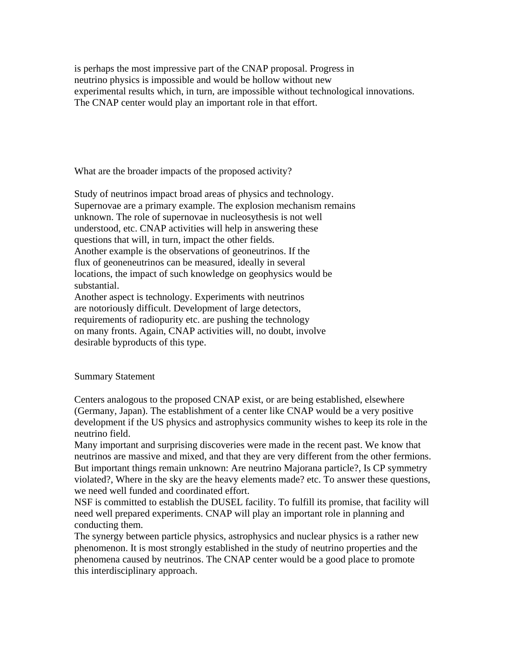is perhaps the most impressive part of the CNAP proposal. Progress in neutrino physics is impossible and would be hollow without new experimental results which, in turn, are impossible without technological innovations. The CNAP center would play an important role in that effort.

What are the broader impacts of the proposed activity?

Study of neutrinos impact broad areas of physics and technology. Supernovae are a primary example. The explosion mechanism remains unknown. The role of supernovae in nucleosythesis is not well understood, etc. CNAP activities will help in answering these questions that will, in turn, impact the other fields. Another example is the observations of geoneutrinos. If the flux of geoneneutrinos can be measured, ideally in several locations, the impact of such knowledge on geophysics would be substantial.

Another aspect is technology. Experiments with neutrinos are notoriously difficult. Development of large detectors, requirements of radiopurity etc. are pushing the technology on many fronts. Again, CNAP activities will, no doubt, involve desirable byproducts of this type.

# Summary Statement

Centers analogous to the proposed CNAP exist, or are being established, elsewhere (Germany, Japan). The establishment of a center like CNAP would be a very positive development if the US physics and astrophysics community wishes to keep its role in the neutrino field.

Many important and surprising discoveries were made in the recent past. We know that neutrinos are massive and mixed, and that they are very different from the other fermions. But important things remain unknown: Are neutrino Majorana particle?, Is CP symmetry violated?, Where in the sky are the heavy elements made? etc. To answer these questions, we need well funded and coordinated effort.

NSF is committed to establish the DUSEL facility. To fulfill its promise, that facility will need well prepared experiments. CNAP will play an important role in planning and conducting them.

The synergy between particle physics, astrophysics and nuclear physics is a rather new phenomenon. It is most strongly established in the study of neutrino properties and the phenomena caused by neutrinos. The CNAP center would be a good place to promote this interdisciplinary approach.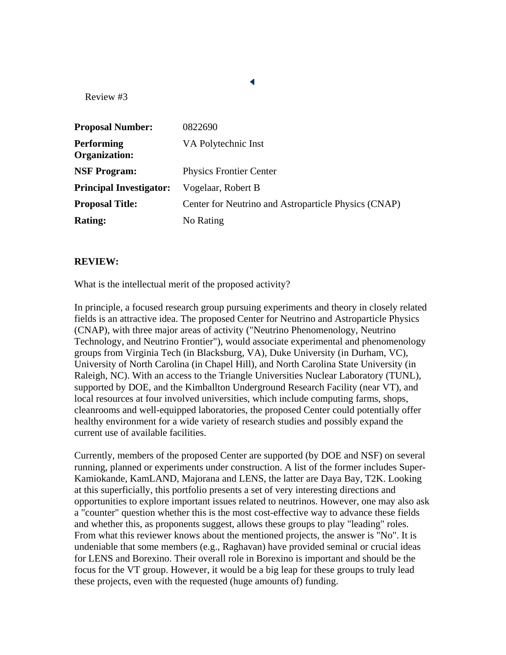| <b>Proposal Number:</b>                   | 0822690                                              |
|-------------------------------------------|------------------------------------------------------|
| <b>Performing</b><br><b>Organization:</b> | VA Polytechnic Inst                                  |
| <b>NSF Program:</b>                       | <b>Physics Frontier Center</b>                       |
| <b>Principal Investigator:</b>            | Vogelaar, Robert B                                   |
| <b>Proposal Title:</b>                    | Center for Neutrino and Astroparticle Physics (CNAP) |
| <b>Rating:</b>                            | No Rating                                            |

### **REVIEW:**

What is the intellectual merit of the proposed activity?

In principle, a focused research group pursuing experiments and theory in closely related fields is an attractive idea. The proposed Center for Neutrino and Astroparticle Physics (CNAP), with three major areas of activity ("Neutrino Phenomenology, Neutrino Technology, and Neutrino Frontier"), would associate experimental and phenomenology groups from Virginia Tech (in Blacksburg, VA), Duke University (in Durham, VC), University of North Carolina (in Chapel Hill), and North Carolina State University (in Raleigh, NC). With an access to the Triangle Universities Nuclear Laboratory (TUNL), supported by DOE, and the Kimballton Underground Research Facility (near VT), and local resources at four involved universities, which include computing farms, shops, cleanrooms and well-equipped laboratories, the proposed Center could potentially offer healthy environment for a wide variety of research studies and possibly expand the current use of available facilities.

Currently, members of the proposed Center are supported (by DOE and NSF) on several running, planned or experiments under construction. A list of the former includes Super-Kamiokande, KamLAND, Majorana and LENS, the latter are Daya Bay, T2K. Looking at this superficially, this portfolio presents a set of very interesting directions and opportunities to explore important issues related to neutrinos. However, one may also ask a "counter" question whether this is the most cost-effective way to advance these fields and whether this, as proponents suggest, allows these groups to play "leading" roles. From what this reviewer knows about the mentioned projects, the answer is "No". It is undeniable that some members (e.g., Raghavan) have provided seminal or crucial ideas for LENS and Borexino. Their overall role in Borexino is important and should be the focus for the VT group. However, it would be a big leap for these groups to truly lead these projects, even with the requested (huge amounts of) funding.

 $\blacktriangleleft$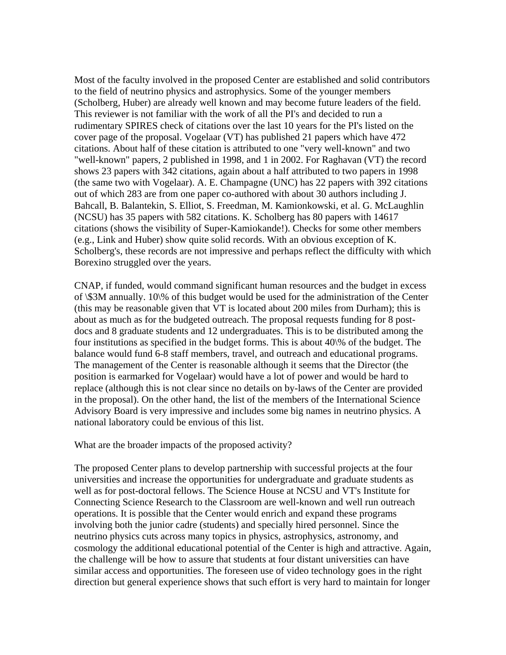Most of the faculty involved in the proposed Center are established and solid contributors to the field of neutrino physics and astrophysics. Some of the younger members (Scholberg, Huber) are already well known and may become future leaders of the field. This reviewer is not familiar with the work of all the PI's and decided to run a rudimentary SPIRES check of citations over the last 10 years for the PI's listed on the cover page of the proposal. Vogelaar (VT) has published 21 papers which have 472 citations. About half of these citation is attributed to one "very well-known" and two "well-known" papers, 2 published in 1998, and 1 in 2002. For Raghavan (VT) the record shows 23 papers with 342 citations, again about a half attributed to two papers in 1998 (the same two with Vogelaar). A. E. Champagne (UNC) has 22 papers with 392 citations out of which 283 are from one paper co-authored with about 30 authors including J. Bahcall, B. Balantekin, S. Elliot, S. Freedman, M. Kamionkowski, et al. G. McLaughlin (NCSU) has 35 papers with 582 citations. K. Scholberg has 80 papers with 14617 citations (shows the visibility of Super-Kamiokande!). Checks for some other members (e.g., Link and Huber) show quite solid records. With an obvious exception of K. Scholberg's, these records are not impressive and perhaps reflect the difficulty with which Borexino struggled over the years.

CNAP, if funded, would command significant human resources and the budget in excess of \\$3M annually. 10\% of this budget would be used for the administration of the Center (this may be reasonable given that VT is located about 200 miles from Durham); this is about as much as for the budgeted outreach. The proposal requests funding for 8 postdocs and 8 graduate students and 12 undergraduates. This is to be distributed among the four institutions as specified in the budget forms. This is about 40\% of the budget. The balance would fund 6-8 staff members, travel, and outreach and educational programs. The management of the Center is reasonable although it seems that the Director (the position is earmarked for Vogelaar) would have a lot of power and would be hard to replace (although this is not clear since no details on by-laws of the Center are provided in the proposal). On the other hand, the list of the members of the International Science Advisory Board is very impressive and includes some big names in neutrino physics. A national laboratory could be envious of this list.

What are the broader impacts of the proposed activity?

The proposed Center plans to develop partnership with successful projects at the four universities and increase the opportunities for undergraduate and graduate students as well as for post-doctoral fellows. The Science House at NCSU and VT's Institute for Connecting Science Research to the Classroom are well-known and well run outreach operations. It is possible that the Center would enrich and expand these programs involving both the junior cadre (students) and specially hired personnel. Since the neutrino physics cuts across many topics in physics, astrophysics, astronomy, and cosmology the additional educational potential of the Center is high and attractive. Again, the challenge will be how to assure that students at four distant universities can have similar access and opportunities. The foreseen use of video technology goes in the right direction but general experience shows that such effort is very hard to maintain for longer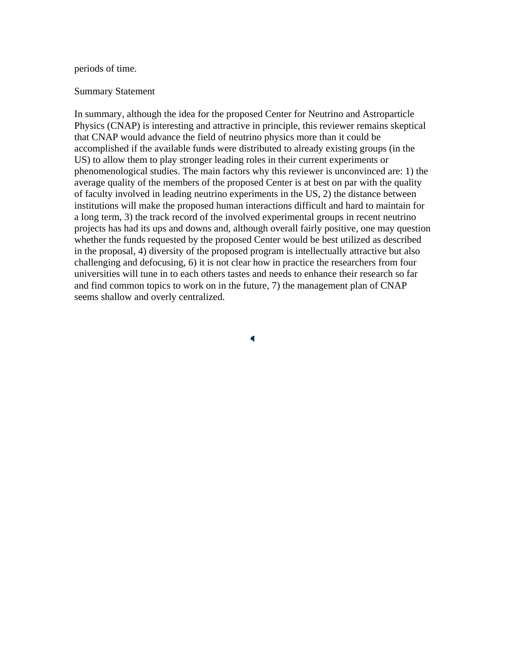### periods of time.

#### Summary Statement

In summary, although the idea for the proposed Center for Neutrino and Astroparticle Physics (CNAP) is interesting and attractive in principle, this reviewer remains skeptical that CNAP would advance the field of neutrino physics more than it could be accomplished if the available funds were distributed to already existing groups (in the US) to allow them to play stronger leading roles in their current experiments or phenomenological studies. The main factors why this reviewer is unconvinced are: 1) the average quality of the members of the proposed Center is at best on par with the quality of faculty involved in leading neutrino experiments in the US, 2) the distance between institutions will make the proposed human interactions difficult and hard to maintain for a long term, 3) the track record of the involved experimental groups in recent neutrino projects has had its ups and downs and, although overall fairly positive, one may question whether the funds requested by the proposed Center would be best utilized as described in the proposal, 4) diversity of the proposed program is intellectually attractive but also challenging and defocusing, 6) it is not clear how in practice the researchers from four universities will tune in to each others tastes and needs to enhance their research so far and find common topics to work on in the future, 7) the management plan of CNAP seems shallow and overly centralized.

4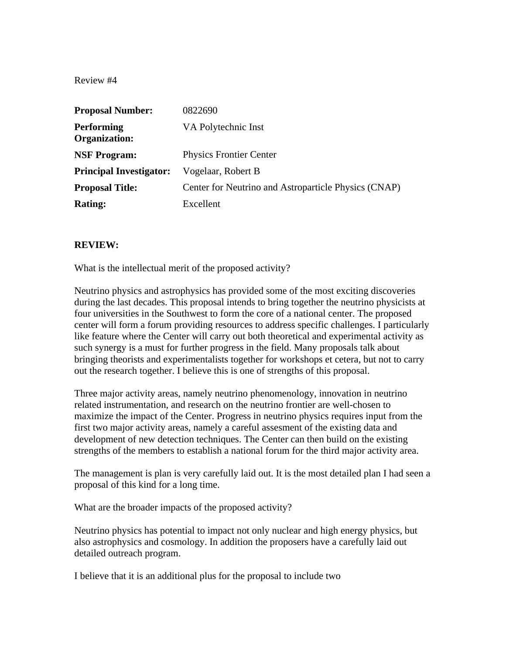| <b>Proposal Number:</b>                   | 0822690                                              |
|-------------------------------------------|------------------------------------------------------|
| <b>Performing</b><br><b>Organization:</b> | VA Polytechnic Inst                                  |
| <b>NSF Program:</b>                       | <b>Physics Frontier Center</b>                       |
| <b>Principal Investigator:</b>            | Vogelaar, Robert B                                   |
| <b>Proposal Title:</b>                    | Center for Neutrino and Astroparticle Physics (CNAP) |
| <b>Rating:</b>                            | Excellent                                            |

# **REVIEW:**

What is the intellectual merit of the proposed activity?

Neutrino physics and astrophysics has provided some of the most exciting discoveries during the last decades. This proposal intends to bring together the neutrino physicists at four universities in the Southwest to form the core of a national center. The proposed center will form a forum providing resources to address specific challenges. I particularly like feature where the Center will carry out both theoretical and experimental activity as such synergy is a must for further progress in the field. Many proposals talk about bringing theorists and experimentalists together for workshops et cetera, but not to carry out the research together. I believe this is one of strengths of this proposal.

Three major activity areas, namely neutrino phenomenology, innovation in neutrino related instrumentation, and research on the neutrino frontier are well-chosen to maximize the impact of the Center. Progress in neutrino physics requires input from the first two major activity areas, namely a careful assesment of the existing data and development of new detection techniques. The Center can then build on the existing strengths of the members to establish a national forum for the third major activity area.

The management is plan is very carefully laid out. It is the most detailed plan I had seen a proposal of this kind for a long time.

What are the broader impacts of the proposed activity?

Neutrino physics has potential to impact not only nuclear and high energy physics, but also astrophysics and cosmology. In addition the proposers have a carefully laid out detailed outreach program.

I believe that it is an additional plus for the proposal to include two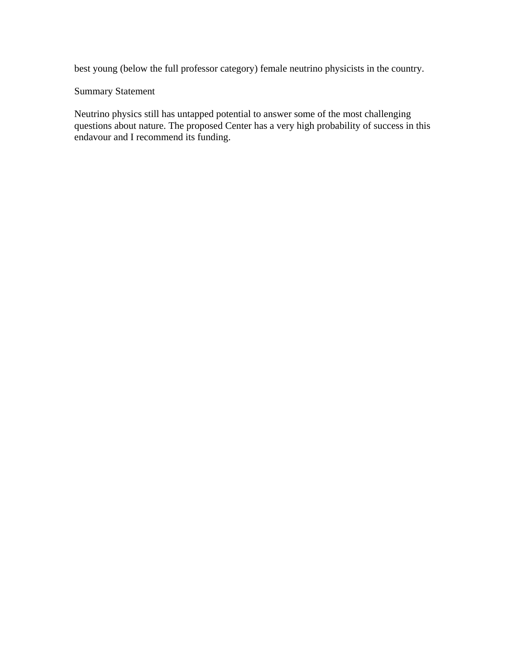best young (below the full professor category) female neutrino physicists in the country.

# Summary Statement

Neutrino physics still has untapped potential to answer some of the most challenging questions about nature. The proposed Center has a very high probability of success in this endavour and I recommend its funding.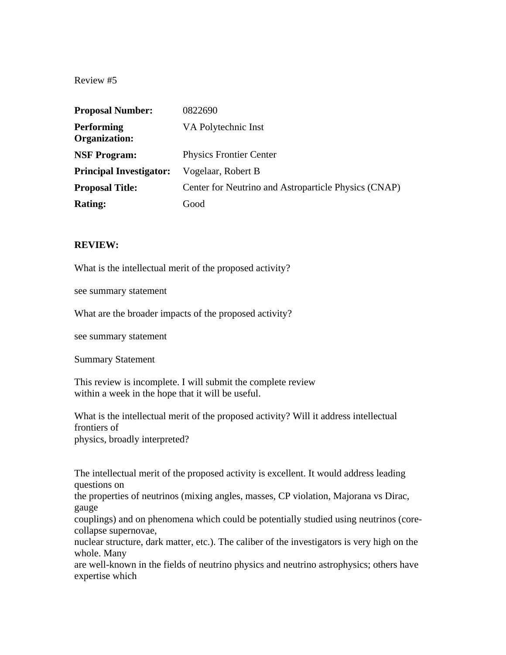| <b>Proposal Number:</b>                   | 0822690                                              |
|-------------------------------------------|------------------------------------------------------|
| <b>Performing</b><br><b>Organization:</b> | VA Polytechnic Inst                                  |
| <b>NSF Program:</b>                       | <b>Physics Frontier Center</b>                       |
| <b>Principal Investigator:</b>            | Vogelaar, Robert B                                   |
| <b>Proposal Title:</b>                    | Center for Neutrino and Astroparticle Physics (CNAP) |
| <b>Rating:</b>                            | Good                                                 |

## **REVIEW:**

What is the intellectual merit of the proposed activity?

see summary statement

What are the broader impacts of the proposed activity?

see summary statement

Summary Statement

This review is incomplete. I will submit the complete review within a week in the hope that it will be useful.

What is the intellectual merit of the proposed activity? Will it address intellectual frontiers of physics, broadly interpreted?

The intellectual merit of the proposed activity is excellent. It would address leading questions on

the properties of neutrinos (mixing angles, masses, CP violation, Majorana vs Dirac, gauge

couplings) and on phenomena which could be potentially studied using neutrinos (corecollapse supernovae,

nuclear structure, dark matter, etc.). The caliber of the investigators is very high on the whole. Many

are well-known in the fields of neutrino physics and neutrino astrophysics; others have expertise which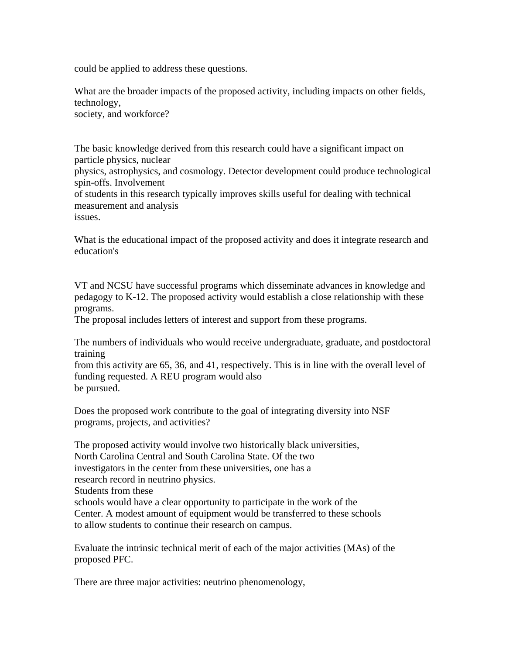could be applied to address these questions.

What are the broader impacts of the proposed activity, including impacts on other fields, technology, society, and workforce?

The basic knowledge derived from this research could have a significant impact on particle physics, nuclear

physics, astrophysics, and cosmology. Detector development could produce technological spin-offs. Involvement

of students in this research typically improves skills useful for dealing with technical measurement and analysis

issues.

What is the educational impact of the proposed activity and does it integrate research and education's

VT and NCSU have successful programs which disseminate advances in knowledge and pedagogy to K-12. The proposed activity would establish a close relationship with these programs.

The proposal includes letters of interest and support from these programs.

The numbers of individuals who would receive undergraduate, graduate, and postdoctoral training

from this activity are 65, 36, and 41, respectively. This is in line with the overall level of funding requested. A REU program would also be pursued.

Does the proposed work contribute to the goal of integrating diversity into NSF programs, projects, and activities?

The proposed activity would involve two historically black universities, North Carolina Central and South Carolina State. Of the two investigators in the center from these universities, one has a research record in neutrino physics. Students from these schools would have a clear opportunity to participate in the work of the Center. A modest amount of equipment would be transferred to these schools to allow students to continue their research on campus.

Evaluate the intrinsic technical merit of each of the major activities (MAs) of the proposed PFC.

There are three major activities: neutrino phenomenology,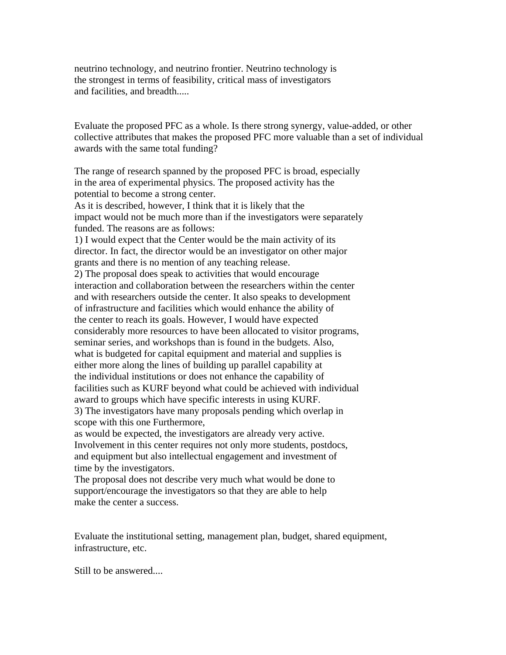neutrino technology, and neutrino frontier. Neutrino technology is the strongest in terms of feasibility, critical mass of investigators and facilities, and breadth.....

Evaluate the proposed PFC as a whole. Is there strong synergy, value-added, or other collective attributes that makes the proposed PFC more valuable than a set of individual awards with the same total funding?

The range of research spanned by the proposed PFC is broad, especially in the area of experimental physics. The proposed activity has the potential to become a strong center. As it is described, however, I think that it is likely that the impact would not be much more than if the investigators were separately funded. The reasons are as follows: 1) I would expect that the Center would be the main activity of its director. In fact, the director would be an investigator on other major grants and there is no mention of any teaching release. 2) The proposal does speak to activities that would encourage interaction and collaboration between the researchers within the center and with researchers outside the center. It also speaks to development of infrastructure and facilities which would enhance the ability of the center to reach its goals. However, I would have expected considerably more resources to have been allocated to visitor programs, seminar series, and workshops than is found in the budgets. Also, what is budgeted for capital equipment and material and supplies is either more along the lines of building up parallel capability at the individual institutions or does not enhance the capability of facilities such as KURF beyond what could be achieved with individual award to groups which have specific interests in using KURF. 3) The investigators have many proposals pending which overlap in scope with this one Furthermore,

as would be expected, the investigators are already very active. Involvement in this center requires not only more students, postdocs, and equipment but also intellectual engagement and investment of time by the investigators.

The proposal does not describe very much what would be done to support/encourage the investigators so that they are able to help make the center a success.

Evaluate the institutional setting, management plan, budget, shared equipment, infrastructure, etc.

Still to be answered....